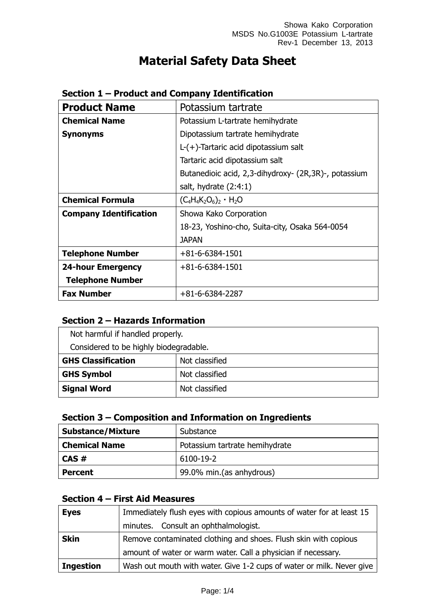# **Material Safety Data Sheet**

| <b>Product Name</b>           | Potassium tartrate                                   |  |
|-------------------------------|------------------------------------------------------|--|
| <b>Chemical Name</b>          | Potassium L-tartrate hemihydrate                     |  |
| <b>Synonyms</b>               | Dipotassium tartrate hemihydrate                     |  |
|                               | $L-(+)$ -Tartaric acid dipotassium salt              |  |
|                               | Tartaric acid dipotassium salt                       |  |
|                               | Butanedioic acid, 2,3-dihydroxy- (2R,3R)-, potassium |  |
|                               | salt, hydrate $(2:4:1)$                              |  |
| <b>Chemical Formula</b>       | $(C_4H_4K_2O_6)_2$ · H <sub>2</sub> O                |  |
| <b>Company Identification</b> | Showa Kako Corporation                               |  |
|                               | 18-23, Yoshino-cho, Suita-city, Osaka 564-0054       |  |
|                               | <b>JAPAN</b>                                         |  |
| <b>Telephone Number</b>       | $+81 - 6 - 6384 - 1501$                              |  |
| <b>24-hour Emergency</b>      | $+81 - 6 - 6384 - 1501$                              |  |
| <b>Telephone Number</b>       |                                                      |  |
| <b>Fax Number</b>             | $+81-6-6384-2287$                                    |  |

### **Section 1 – Product and Company Identification**

### **Section 2 – Hazards Information**

| Not harmful if handled properly.       |                |  |
|----------------------------------------|----------------|--|
| Considered to be highly biodegradable. |                |  |
| <b>GHS Classification</b>              | Not classified |  |
| <b>GHS Symbol</b>                      | Not classified |  |
| <b>Signal Word</b>                     | Not classified |  |

### **Section 3 – Composition and Information on Ingredients**

| <b>Substance/Mixture</b> | Substance                      |  |
|--------------------------|--------------------------------|--|
| <b>Chemical Name</b>     | Potassium tartrate hemihydrate |  |
| CAS#                     | 6100-19-2                      |  |
| <b>Percent</b>           | 99.0% min.(as anhydrous)       |  |

### **Section 4 – First Aid Measures**

| <b>Eyes</b>      | Immediately flush eyes with copious amounts of water for at least 15  |
|------------------|-----------------------------------------------------------------------|
|                  | minutes. Consult an ophthalmologist.                                  |
| <b>Skin</b>      | Remove contaminated clothing and shoes. Flush skin with copious       |
|                  | amount of water or warm water. Call a physician if necessary.         |
| <b>Ingestion</b> | Wash out mouth with water. Give 1-2 cups of water or milk. Never give |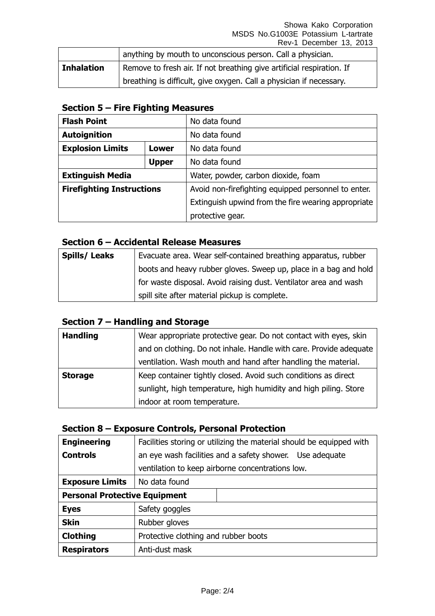Showa Kako Corporation MSDS No.G1003E Potassium L-tartrate Rev-1 December 13, 2013

|                   | anything by mouth to unconscious person. Call a physician.            |
|-------------------|-----------------------------------------------------------------------|
| <b>Inhalation</b> | Remove to fresh air. If not breathing give artificial respiration. If |
|                   | breathing is difficult, give oxygen. Call a physician if necessary.   |

### **Section 5 – Fire Fighting Measures**

| <b>Flash Point</b>               |              | No data found                                       |
|----------------------------------|--------------|-----------------------------------------------------|
| <b>Autoignition</b>              |              | No data found                                       |
| <b>Explosion Limits</b><br>Lower |              | No data found                                       |
|                                  | <b>Upper</b> | No data found                                       |
| <b>Extinguish Media</b>          |              | Water, powder, carbon dioxide, foam                 |
| <b>Firefighting Instructions</b> |              | Avoid non-firefighting equipped personnel to enter. |
|                                  |              | Extinguish upwind from the fire wearing appropriate |
|                                  |              | protective gear.                                    |

### **Section 6 – Accidental Release Measures**

| <b>Spills/Leaks</b> | Evacuate area. Wear self-contained breathing apparatus, rubber   |
|---------------------|------------------------------------------------------------------|
|                     | boots and heavy rubber gloves. Sweep up, place in a bag and hold |
|                     | for waste disposal. Avoid raising dust. Ventilator area and wash |
|                     | spill site after material pickup is complete.                    |

### **Section 7 – Handling and Storage**

| <b>Handling</b> | Wear appropriate protective gear. Do not contact with eyes, skin   |
|-----------------|--------------------------------------------------------------------|
|                 | and on clothing. Do not inhale. Handle with care. Provide adequate |
|                 | ventilation. Wash mouth and hand after handling the material.      |
| <b>Storage</b>  | Keep container tightly closed. Avoid such conditions as direct     |
|                 | sunlight, high temperature, high humidity and high piling. Store   |
|                 | indoor at room temperature.                                        |

### **Section 8 – Exposure Controls, Personal Protection**

| <b>Engineering</b>                   | Facilities storing or utilizing the material should be equipped with |  |
|--------------------------------------|----------------------------------------------------------------------|--|
| <b>Controls</b>                      | an eye wash facilities and a safety shower. Use adequate             |  |
|                                      | ventilation to keep airborne concentrations low.                     |  |
| <b>Exposure Limits</b>               | No data found                                                        |  |
| <b>Personal Protective Equipment</b> |                                                                      |  |
| <b>Eyes</b>                          | Safety goggles                                                       |  |
| <b>Skin</b>                          | Rubber gloves                                                        |  |
| <b>Clothing</b>                      | Protective clothing and rubber boots                                 |  |
| <b>Respirators</b>                   | Anti-dust mask                                                       |  |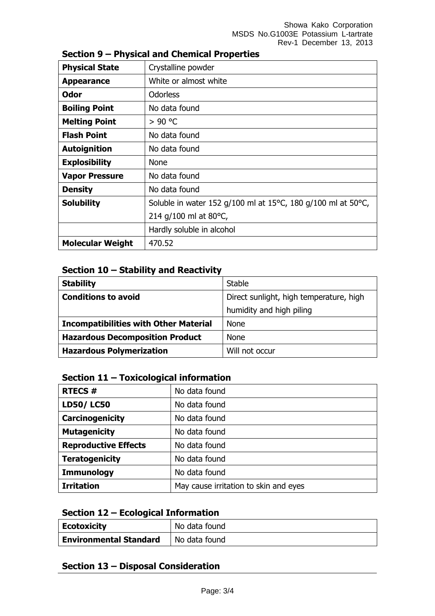#### Showa Kako Corporation MSDS No.G1003E Potassium L-tartrate Rev-1 December 13, 2013

| <b>Physical State</b>   | Crystalline powder                                                               |  |
|-------------------------|----------------------------------------------------------------------------------|--|
| <b>Appearance</b>       | White or almost white                                                            |  |
| Odor                    | <b>Odorless</b>                                                                  |  |
| <b>Boiling Point</b>    | No data found                                                                    |  |
| <b>Melting Point</b>    | > 90 °C                                                                          |  |
| <b>Flash Point</b>      | No data found                                                                    |  |
| <b>Autoignition</b>     | No data found                                                                    |  |
| <b>Explosibility</b>    | <b>None</b>                                                                      |  |
| <b>Vapor Pressure</b>   | No data found                                                                    |  |
| <b>Density</b>          | No data found                                                                    |  |
| <b>Solubility</b>       | Soluble in water 152 g/100 ml at 15 $\degree$ C, 180 g/100 ml at 50 $\degree$ C, |  |
|                         | 214 g/100 ml at 80°C,                                                            |  |
|                         | Hardly soluble in alcohol                                                        |  |
| <b>Molecular Weight</b> | 470.52                                                                           |  |

## **Section 9 – Physical and Chemical Properties**

### **Section 10 – Stability and Reactivity**

| <b>Stability</b>                             | <b>Stable</b>                           |
|----------------------------------------------|-----------------------------------------|
| <b>Conditions to avoid</b>                   | Direct sunlight, high temperature, high |
|                                              | humidity and high piling                |
| <b>Incompatibilities with Other Material</b> | <b>None</b>                             |
| <b>Hazardous Decomposition Product</b>       | <b>None</b>                             |
| <b>Hazardous Polymerization</b>              | Will not occur                          |

### **Section 11 – Toxicological information**

| <b>RTECS#</b>               | No data found                         |
|-----------------------------|---------------------------------------|
| <b>LD50/LC50</b>            | No data found                         |
| Carcinogenicity             | No data found                         |
| <b>Mutagenicity</b>         | No data found                         |
| <b>Reproductive Effects</b> | No data found                         |
| <b>Teratogenicity</b>       | No data found                         |
| <b>Immunology</b>           | No data found                         |
| <b>Irritation</b>           | May cause irritation to skin and eyes |

### **Section 12 – Ecological Information**

| <b>Ecotoxicity</b>            | No data found |
|-------------------------------|---------------|
| <b>Environmental Standard</b> | No data found |

## **Section 13 – Disposal Consideration**